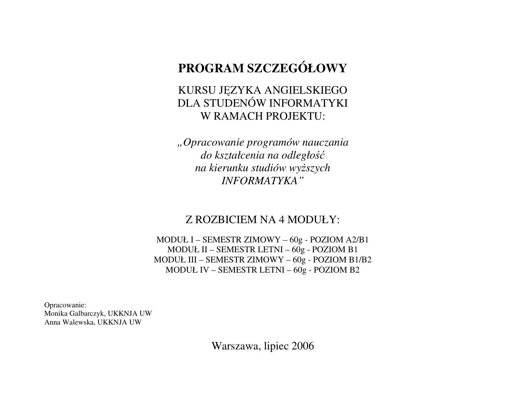#### **PROGRAM SZCZEGÓŁOWY**

#### KURSU JĘZYKA ANGIELSKIEGO DLA STUDENÓW INFORMATYKI W RAMACH PROJEKTU:

*"Opracowanie programów nauczania do kształcenia na odległo*ść *na kierunku studiów wy*ż*szych INFORMATYKA"* 

#### Z ROZBICIEM NA 4 MODUŁY:

MODUŁ I – SEMESTR ZIMOWY – 60g - POZIOM A2/B1 MODUŁ II – SEMESTR LETNI – 60g - POZIOM B1 MODUŁ III – SEMESTR ZIMOWY – 60g - POZIOM B1/B2 MODUŁ IV – SEMESTR LETNI – 60g - POZIOM B2

Opracowanie: Monika Galbarczyk, UKKNJA UW Anna Walewska, UKKNJA UW

Warszawa, lipiec 2006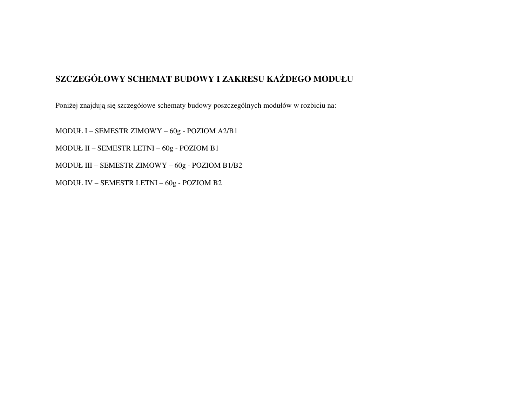#### **SZCZEGÓŁOWY SCHEMAT BUDOWY I ZAKRESU KA**Ż**DEGO MODUŁU**

Poniżej znajdują się szczegółowe schematy budowy poszczególnych modułów w rozbiciu na:

MODUŁ I – SEMESTR ZIMOWY – 60g - POZIOM A2/B1

MODUŁ II – SEMESTR LETNI – 60g - POZIOM B1

MODUŁ III – SEMESTR ZIMOWY – 60g - POZIOM B1/B2

MODUŁ IV – SEMESTR LETNI – 60g - POZIOM B2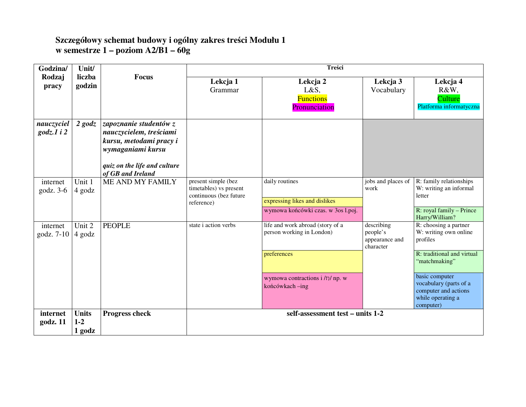# **Szczegółowy schemat budowy i ogólny zakres tre**ś**ci Modułu 1 w semestrze 1 – poziom A2/B1 – 60g**

| Godzina/                          | Unit/                             |                                                                                                                                                        |                                                                                       | Treści                                                        |                                                       |                                                                                                    |
|-----------------------------------|-----------------------------------|--------------------------------------------------------------------------------------------------------------------------------------------------------|---------------------------------------------------------------------------------------|---------------------------------------------------------------|-------------------------------------------------------|----------------------------------------------------------------------------------------------------|
| Rodzaj<br>pracy                   | liczba<br>godzin                  | <b>Focus</b>                                                                                                                                           | Lekcja 1<br>Grammar                                                                   | Lekcja 2<br>L&S,<br><b>Functions</b><br>Pronunciation         | Lekcja 3<br>Vocabulary                                | Lekcja 4<br>R&W,<br>Culture<br>Platforma informatyczna                                             |
| nauczyciel<br>$\text{godz}.1$ i 2 | $2$ godz                          | zapoznanie studentów z<br>nauczycielem, treściami<br>kursu, metodami pracy i<br>wymaganiami kursu<br>quiz on the life and culture<br>of GB and Ireland |                                                                                       |                                                               |                                                       |                                                                                                    |
| internet<br>godz. $3-6$           | Unit 1<br>4 godz                  | ME AND MY FAMILY                                                                                                                                       | present simple (bez<br>timetables) vs present<br>continuous (bez future<br>reference) | daily routines<br>expressing likes and dislikes               | jobs and places of<br>work                            | R: family relationships<br>W: writing an informal<br>letter                                        |
|                                   |                                   |                                                                                                                                                        |                                                                                       | wymowa końcówki czas. w 3os l.poj.                            |                                                       | R: royal family - Prince<br>Harry/William?                                                         |
| internet<br>godz. 7-10            | Unit 2<br>4 godz                  | <b>PEOPLE</b>                                                                                                                                          | state i action verbs                                                                  | life and work abroad (story of a<br>person working in London) | describing<br>people's<br>appearance and<br>character | R: choosing a partner<br>W: writing own online<br>profiles                                         |
|                                   |                                   |                                                                                                                                                        |                                                                                       | preferences                                                   |                                                       | R: traditional and virtual<br>"matchmaking"                                                        |
|                                   |                                   |                                                                                                                                                        |                                                                                       | wymowa contractions i /n/ np. w<br>końcówkach-ing             |                                                       | basic computer<br>vocabulary (parts of a<br>computer and actions<br>while operating a<br>computer) |
| internet<br>godz. 11              | <b>Units</b><br>$1 - 2$<br>1 godz | <b>Progress check</b>                                                                                                                                  |                                                                                       | self-assessment test – units 1-2                              |                                                       |                                                                                                    |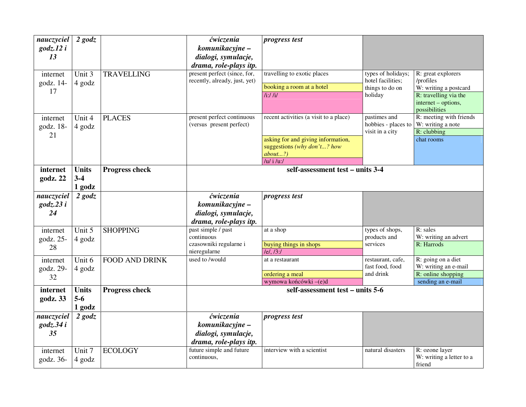| nauczyciel<br>$\text{godz}.12i$<br>13 | $2$ godz                        |                       | ćwiczenia<br>komunikacyjne –<br>dialogi, symulacje,<br>drama, role-plays itp. | progress test                                                                                                                              |                                                                       |                                                                                                                           |
|---------------------------------------|---------------------------------|-----------------------|-------------------------------------------------------------------------------|--------------------------------------------------------------------------------------------------------------------------------------------|-----------------------------------------------------------------------|---------------------------------------------------------------------------------------------------------------------------|
| internet<br>godz. 14-<br>17           | Unit 3<br>4 godz                | <b>TRAVELLING</b>     | present perfect (since, for,<br>recently, already, just, yet)                 | travelling to exotic places<br>booking a room at a hotel<br>$\overline{h}$ :/ $\overline{h}$                                               | types of holidays;<br>hotel facilities;<br>things to do on<br>holiday | R: great explorers<br>/profiles<br>W: writing a postcard<br>R: travelling via the<br>internet - options,<br>possibilities |
| internet<br>godz. 18-<br>21           | Unit 4<br>4 godz                | <b>PLACES</b>         | present perfect continuous<br>(versus present perfect)                        | recent activities (a visit to a place)<br>asking for and giving information,<br>suggestions (why don't? how<br>about?)<br>/ $u/$ i/ $u$ :/ | pastimes and<br>hobbies - places to<br>visit in a city                | R: meeting with friends<br>W: writing a note<br>R: clubbing<br>chat rooms                                                 |
| internet<br>godz. 22                  | <b>Units</b><br>$3-4$<br>1 godz | <b>Progress check</b> |                                                                               | self-assessment test - units 3-4                                                                                                           |                                                                       |                                                                                                                           |
| nauczyciel<br>$\text{godz}.23i$<br>24 | $2$ godz                        |                       | ćwiczenia<br>komunikacyjne –<br>dialogi, symulacje,<br>drama, role-plays itp. | progress test                                                                                                                              |                                                                       |                                                                                                                           |
| internet<br>godz. 25-<br>28           | Unit 5<br>4 godz                | <b>SHOPPING</b>       | past simple / past<br>continuous<br>czasowniki regularne i<br>nieregularne    | at a shop<br>buying things in shops<br>Iel, I3:1                                                                                           | types of shops,<br>products and<br>services                           | $R:$ sales<br>W: writing an advert<br>R: Harrods                                                                          |
| internet<br>godz. 29-<br>32           | Unit 6<br>4 godz                | <b>FOOD AND DRINK</b> | used to /would                                                                | at a restaurant<br>ordering a meal<br>wymowa końcówki -(e)d                                                                                | restaurant, cafe,<br>fast food, food<br>and drink                     | R: going on a diet<br>W: writing an e-mail<br>R: online shopping<br>sending an e-mail                                     |
| internet<br>godz. 33                  | <b>Units</b><br>$5-6$<br>1 godz | <b>Progress check</b> |                                                                               | self-assessment test - units 5-6                                                                                                           |                                                                       |                                                                                                                           |
| nauczyciel<br>$\text{godz}.34i$<br>35 | $2$ godz                        |                       | ćwiczenia<br>komunikacyjne –<br>dialogi, symulacje,<br>drama, role-plays itp. | <i>progress test</i>                                                                                                                       |                                                                       |                                                                                                                           |
| internet<br>godz. 36-                 | Unit 7<br>4 godz                | <b>ECOLOGY</b>        | future simple and future<br>continuous,                                       | interview with a scientist                                                                                                                 | natural disasters                                                     | R: ozone layer<br>W: writing a letter to a<br>friend                                                                      |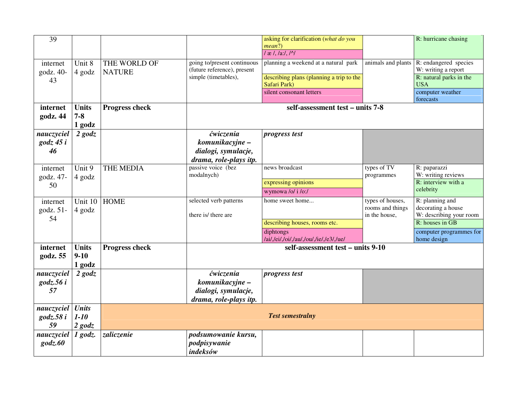| $\overline{39}$    |              |                       |                                                            | asking for clarification (what do you                   |                           | R: hurricane chasing                         |  |
|--------------------|--------------|-----------------------|------------------------------------------------------------|---------------------------------------------------------|---------------------------|----------------------------------------------|--|
|                    |              |                       |                                                            | mean?)<br>$\frac{1}{x}$ , $\frac{1}{x}$ , $\frac{1}{x}$ |                           |                                              |  |
|                    |              |                       |                                                            |                                                         |                           |                                              |  |
| internet           | Unit 8       | THE WORLD OF          | going to/present continuous<br>(future reference), present | planning a weekend at a natural park                    | animals and plants        | R: endangered species<br>W: writing a report |  |
| godz. 40-<br>43    | 4 godz       | <b>NATURE</b>         | simple (timetables),                                       | describing plans (planning a trip to the                |                           | R: natural parks in the                      |  |
|                    |              |                       |                                                            | Safari Park)                                            |                           | <b>USA</b>                                   |  |
|                    |              |                       |                                                            | silent consonant letters                                |                           | computer weather<br>forecasts                |  |
| internet           | <b>Units</b> | <b>Progress check</b> |                                                            | self-assessment test – units 7-8                        |                           |                                              |  |
| godz. 44           | $7 - 8$      |                       |                                                            |                                                         |                           |                                              |  |
|                    | 1 godz       |                       |                                                            |                                                         |                           |                                              |  |
| nauczyciel         | $2$ godz     |                       | ćwiczenia                                                  | progress test                                           |                           |                                              |  |
| $\text{godz } 45i$ |              |                       | komunikacyjne –                                            |                                                         |                           |                                              |  |
| 46                 |              |                       | dialogi, symulacje,                                        |                                                         |                           |                                              |  |
|                    |              |                       | drama, role-plays itp.                                     |                                                         |                           |                                              |  |
| internet           | Unit 9       | THE MEDIA             | passive voice (bez<br>modalnych)                           | news broadcast                                          | types of TV<br>programmes | R: paparazzi<br>W: writing reviews           |  |
| godz. 47-<br>50    | 4 godz       |                       |                                                            | expressing opinions                                     |                           | R: interview with a                          |  |
|                    |              |                       |                                                            | wymowa /o/ i /o:/                                       |                           | celebrity                                    |  |
| internet           | Unit $10$    | <b>HOME</b>           | selected verb patterns                                     | home sweet home                                         | types of houses,          | R: planning and                              |  |
| godz. 51-          | 4 godz       |                       |                                                            |                                                         | rooms and things          | decorating a house                           |  |
| 54                 |              |                       | there is/ there are                                        | describing houses, rooms etc.                           | in the house,             | W: describing your room<br>R: houses in GB   |  |
|                    |              |                       |                                                            | diphtongs                                               |                           | computer programmes for                      |  |
|                    |              |                       |                                                            | /ai/,/ei/,/oi/,/au/,/ou/,/ie/,/e3/,/ue/                 |                           | home design                                  |  |
| internet           | <b>Units</b> | <b>Progress check</b> |                                                            | self-assessment test - units 9-10                       |                           |                                              |  |
| godz. 55           | $9-10$       |                       |                                                            |                                                         |                           |                                              |  |
|                    | 1 godz       |                       |                                                            |                                                         |                           |                                              |  |
| nauczyciel         | $2$ godz     |                       | <i>ćwiczenia</i>                                           | progress test                                           |                           |                                              |  |
| $\text{godz}.56i$  |              |                       | komunikacyjne –                                            |                                                         |                           |                                              |  |
| 57                 |              |                       | dialogi, symulacje,                                        |                                                         |                           |                                              |  |
|                    |              |                       | drama, role-plays itp.                                     |                                                         |                           |                                              |  |
| nauczyciel         | <b>Units</b> |                       |                                                            |                                                         |                           |                                              |  |
| $\text{godz}.58i$  | $1-10$       |                       |                                                            | <b>Test semestralny</b>                                 |                           |                                              |  |
| 59                 | $2$ godz     |                       |                                                            |                                                         |                           |                                              |  |
| nauczyciel         | $1$ godz.    | zaliczenie            | podsumowanie kursu,                                        |                                                         |                           |                                              |  |
| $g$ odz. $60$      |              |                       | podpisywanie                                               |                                                         |                           |                                              |  |
|                    |              |                       | indeksów                                                   |                                                         |                           |                                              |  |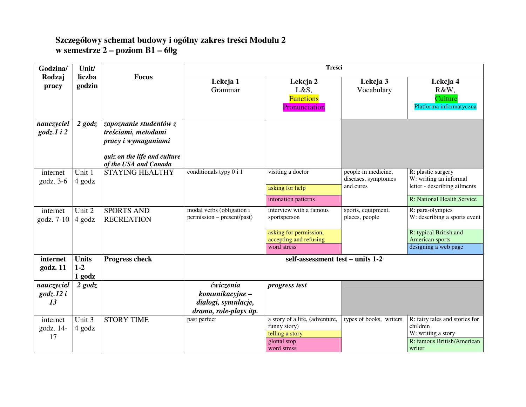# **Szczegółowy schemat budowy i ogólny zakres tre**ś**ci Modułu 2 w semestrze 2 – poziom B1 – 60g**

| Godzina/                              | Unit/                           |                                                                                                                               |                                                                               | Treści                                                                                                                            |                                                         |                                                                                                                                                     |
|---------------------------------------|---------------------------------|-------------------------------------------------------------------------------------------------------------------------------|-------------------------------------------------------------------------------|-----------------------------------------------------------------------------------------------------------------------------------|---------------------------------------------------------|-----------------------------------------------------------------------------------------------------------------------------------------------------|
| Rodzaj<br>pracy                       | liczba<br>godzin                | <b>Focus</b>                                                                                                                  | Lekcja 1<br>Grammar                                                           | Lekcja 2<br>L&S,<br><b>Functions</b><br>Pronunciation                                                                             | Lekcja 3<br>Vocabulary                                  | Lekcja 4<br>R&W,<br>Culture<br>Platforma informatyczna                                                                                              |
| nauczyciel<br>$\textit{godz}.1\ i$ 2  | $2$ godz                        | zapoznanie studentów z<br>treściami, metodami<br>pracy i wymaganiami<br>quiz on the life and culture<br>of the USA and Canada |                                                                               |                                                                                                                                   |                                                         |                                                                                                                                                     |
| internet<br>godz. 3-6                 | Unit 1<br>4 godz                | <b>STAYING HEALTHY</b>                                                                                                        | conditionals typy 0 i 1                                                       | visiting a doctor<br>asking for help                                                                                              | people in medicine,<br>diseases, symptomes<br>and cures | R: plastic surgery<br>W: writing an informal<br>letter - describing ailments                                                                        |
| internet<br>godz. 7-10                | Unit 2<br>4 godz                | <b>SPORTS AND</b><br><b>RECREATION</b>                                                                                        | modal verbs (obligation i<br>permission – present/past)                       | intonation patterns<br>interview with a famous<br>sportsperson<br>asking for permission,<br>accepting and refusing<br>word stress | sports, equipment,<br>places, people                    | R: National Health Service<br>R: para-olympics<br>W: describing a sports event<br>R: typical British and<br>American sports<br>designing a web page |
| internet<br>godz. 11                  | <b>Units</b><br>$1-2$<br>1 godz | <b>Progress check</b>                                                                                                         |                                                                               | self-assessment test - units 1-2                                                                                                  |                                                         |                                                                                                                                                     |
| nauczyciel<br>$\text{godz}.12i$<br>13 | $2$ godz                        |                                                                                                                               | ćwiczenia<br>komunikacyjne –<br>dialogi, symulacje,<br>drama, role-plays itp. | progress test                                                                                                                     |                                                         |                                                                                                                                                     |
| internet<br>godz. 14-<br>17           | Unit 3<br>4 godz                | <b>STORY TIME</b>                                                                                                             | past perfect                                                                  | a story of a life, (adventure,<br>funny story)<br>telling a story<br>glottal stop<br>word stress                                  | types of books, writers                                 | R: fairy tales and stories for<br>children<br>W: writing a story<br>R: famous British/American<br>writer                                            |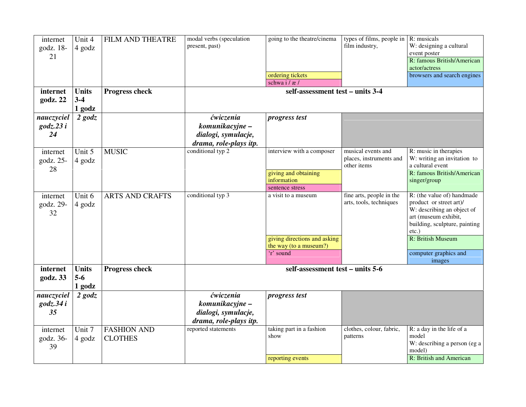| internet<br>godz. 18-<br>21 | Unit 4<br>4 godz | FILM AND THEATRE       | modal verbs (speculation<br>present, past) | going to the theatre/cinema      | types of films, people in $\mathbb R$ : musicals<br>film industry, | W: designing a cultural<br>event poster               |
|-----------------------------|------------------|------------------------|--------------------------------------------|----------------------------------|--------------------------------------------------------------------|-------------------------------------------------------|
|                             |                  |                        |                                            |                                  |                                                                    | R: famous British/American<br>actor/actress           |
|                             |                  |                        |                                            | ordering tickets                 |                                                                    | browsers and search engines                           |
|                             |                  |                        |                                            | schwa i / æ /                    |                                                                    |                                                       |
| internet                    | <b>Units</b>     | <b>Progress check</b>  |                                            | self-assessment test - units 3-4 |                                                                    |                                                       |
| godz. 22                    | $3 - 4$          |                        |                                            |                                  |                                                                    |                                                       |
|                             | 1 godz           |                        |                                            |                                  |                                                                    |                                                       |
| nauczyciel                  | $2$ godz         |                        | ćwiczenia                                  | progress test                    |                                                                    |                                                       |
| $\text{godz}.23i$           |                  |                        | komunikacyjne –                            |                                  |                                                                    |                                                       |
| 24                          |                  |                        | dialogi, symulacje,                        |                                  |                                                                    |                                                       |
|                             |                  |                        | drama, role-plays itp.                     |                                  |                                                                    |                                                       |
| internet                    | Unit 5           | <b>MUSIC</b>           | conditional typ 2                          | interview with a composer        | musical events and                                                 | R: music in therapies                                 |
| godz. 25-                   | 4 godz           |                        |                                            |                                  | places, instruments and<br>other items                             | W: writing an invitation to<br>a cultural event       |
| 28                          |                  |                        |                                            | giving and obtaining             |                                                                    | R: famous British/American                            |
|                             |                  |                        |                                            | information                      |                                                                    | singer/group                                          |
|                             |                  |                        |                                            | sentence stress                  |                                                                    |                                                       |
| internet<br>godz. 29-       | Unit 6<br>4 godz | <b>ARTS AND CRAFTS</b> | conditional typ 3                          | a visit to a museum              | fine arts, people in the<br>arts, tools, techniques                | R: (the value of) handmade<br>product or street art)/ |
| 32                          |                  |                        |                                            |                                  |                                                                    | W: describing an object of                            |
|                             |                  |                        |                                            |                                  |                                                                    | art (museum exhibit,<br>building, sculpture, painting |
|                             |                  |                        |                                            |                                  |                                                                    | $etc.$ )                                              |
|                             |                  |                        |                                            | giving directions and asking     |                                                                    | R: British Museum                                     |
|                             |                  |                        |                                            | the way (to a museum?)           |                                                                    |                                                       |
|                             |                  |                        |                                            | 'r' sound                        |                                                                    | computer graphics and                                 |
|                             |                  |                        |                                            |                                  |                                                                    | images                                                |
| internet                    | <b>Units</b>     | Progress check         |                                            | self-assessment test - units 5-6 |                                                                    |                                                       |
| godz. 33                    | $5-6$            |                        |                                            |                                  |                                                                    |                                                       |
|                             | 1 godz           |                        |                                            |                                  |                                                                    |                                                       |
| nauczyciel                  | $2$ godz         |                        | ćwiczenia                                  | progress test                    |                                                                    |                                                       |
| $\text{godz}.34i$           |                  |                        | komunikacyjne –                            |                                  |                                                                    |                                                       |
| 35                          |                  |                        | dialogi, symulacje,                        |                                  |                                                                    |                                                       |
|                             |                  |                        | drama, role-plays itp.                     |                                  |                                                                    |                                                       |
| internet                    | Unit 7           | <b>FASHION AND</b>     | reported statements                        | taking part in a fashion         | clothes, colour, fabric,                                           | R: a day in the life of a                             |
| godz. 36-                   | 4 godz           | <b>CLOTHES</b>         |                                            | show                             | patterns                                                           | model                                                 |
| 39                          |                  |                        |                                            |                                  |                                                                    | W: describing a person (eg a<br>model)                |
|                             |                  |                        |                                            | reporting events                 |                                                                    | R: British and American                               |
|                             |                  |                        |                                            |                                  |                                                                    |                                                       |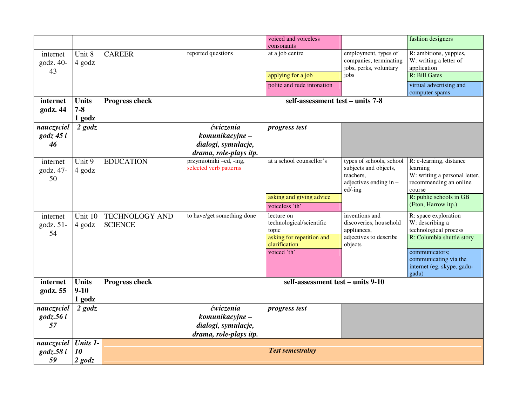|                                        |                                   |                                         |                                                                               | voiced and voiceless<br>consonants                                                                           |                                                                                                     | fashion designers                                                                                                                                                               |
|----------------------------------------|-----------------------------------|-----------------------------------------|-------------------------------------------------------------------------------|--------------------------------------------------------------------------------------------------------------|-----------------------------------------------------------------------------------------------------|---------------------------------------------------------------------------------------------------------------------------------------------------------------------------------|
| internet<br>godz. 40-<br>43            | Unit 8<br>4 godz                  | <b>CAREER</b>                           | reported questions                                                            | at a job centre<br>applying for a job<br>polite and rude intonation                                          | employment, types of<br>companies, terminating<br>jobs, perks, voluntary<br>jobs                    | R: ambitions, yuppies,<br>W: writing a letter of<br>application<br>R: Bill Gates<br>virtual advertising and<br>computer spams                                                   |
| internet<br>godz. 44                   | <b>Units</b><br>$7 - 8$<br>1 godz | <b>Progress check</b>                   |                                                                               | self-assessment test - units 7-8                                                                             |                                                                                                     |                                                                                                                                                                                 |
| nauczyciel<br>$\text{godz } 45i$<br>46 | $2$ godz                          |                                         | ćwiczenia<br>komunikacyjne -<br>dialogi, symulacje,<br>drama, role-plays itp. | progress test                                                                                                |                                                                                                     |                                                                                                                                                                                 |
| internet<br>godz. 47-<br>50            | Unit 9<br>4 godz                  | <b>EDUCATION</b>                        | przymiotniki -ed, -ing,<br>selected verb patterns                             | at a school counsellor's<br>asking and giving advice<br>voiceless 'th'                                       | types of schools, school<br>subjects and objects,<br>teachers,<br>adjectives ending in -<br>ed/-ing | R: e-learning, distance<br>learning<br>W: writing a personal letter,<br>recommending an online<br>course<br>R: public schools in GB<br>(Eton, Harrow itp.)                      |
| internet<br>godz. 51-<br>54            | Unit 10<br>4 godz                 | <b>TECHNOLOGY AND</b><br><b>SCIENCE</b> | to have/get something done                                                    | lecture on<br>technological/scientific<br>topic<br>asking for repetition and<br>clarification<br>voiced 'th' | inventions and<br>discoveries, household<br>appliances,<br>adjectives to describe<br>objects        | R: space exploration<br>W: describing a<br>technological process<br>R: Columbia shuttle story<br>communicators;<br>communicating via the<br>internet (eg. skype, gadu-<br>gadu) |
| internet<br>godz. 55                   | <b>Units</b><br>$9-10$<br>1 godz  | <b>Progress check</b>                   |                                                                               | self-assessment test - units 9-10                                                                            |                                                                                                     |                                                                                                                                                                                 |
| nauczyciel<br>$\text{godz}.56i$<br>57  | $2$ godz                          |                                         | ćwiczenia<br>komunikacyjne –<br>dialogi, symulacje,<br>drama, role-plays itp. | progress test                                                                                                |                                                                                                     |                                                                                                                                                                                 |
| nauczyciel<br>$\text{godz}.58i$<br>59  | Units 1-<br>10<br>$2$ godz        |                                         |                                                                               | <b>Test semestralny</b>                                                                                      |                                                                                                     |                                                                                                                                                                                 |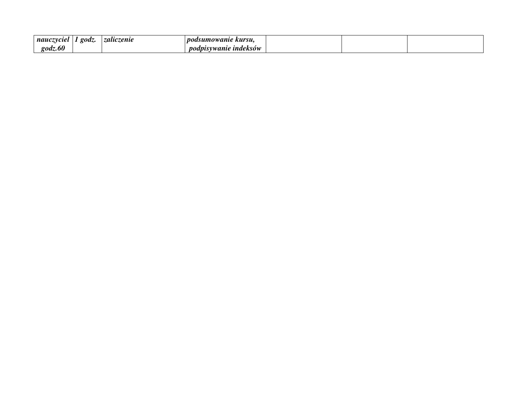| nauczyciel         | 20dz | zaliczenie | <i>nodsumowanie</i><br>kursu. |  |  |
|--------------------|------|------------|-------------------------------|--|--|
| $\mathit{godz}.60$ |      |            | indeksów<br>wanie             |  |  |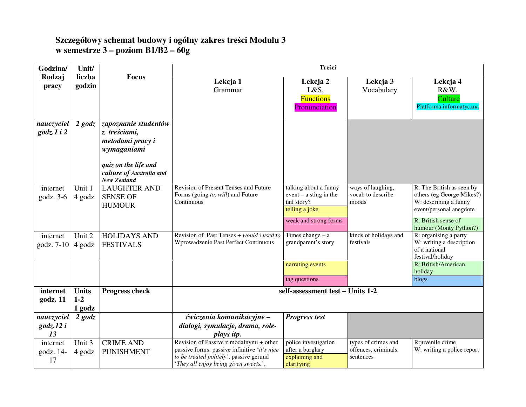# **Szczegółowy schemat budowy i ogólny zakres tre**ś**ci Modułu 3 w semestrze 3 – poziom B1/B2 – 60g**

| Godzina/                                | Unit/                             |                                                                                                                                                   |                                                                                                                                                                             | Treści                                                                                                           |                                                          |                                                                                                            |
|-----------------------------------------|-----------------------------------|---------------------------------------------------------------------------------------------------------------------------------------------------|-----------------------------------------------------------------------------------------------------------------------------------------------------------------------------|------------------------------------------------------------------------------------------------------------------|----------------------------------------------------------|------------------------------------------------------------------------------------------------------------|
| Rodzaj<br>pracy                         | liczba<br>godzin                  | <b>Focus</b>                                                                                                                                      | Lekcja 1<br>Grammar                                                                                                                                                         | Lekcja 2                                                                                                         | Lekcja 3                                                 | Lekcja 4                                                                                                   |
|                                         |                                   |                                                                                                                                                   |                                                                                                                                                                             | L&S,<br><b>Functions</b><br>Pronunciation                                                                        | Vocabulary                                               | R&W,<br>Culture<br>Platforma informatyczna                                                                 |
| nauczyciel<br>$\text{godz}.1$ i 2       | $2$ godz                          | zapoznanie studentów<br>z treściami,<br>metodami pracy i<br>wymaganiami<br>quiz on the life and<br>culture of Australia and<br><b>New Zealand</b> |                                                                                                                                                                             |                                                                                                                  |                                                          |                                                                                                            |
| internet<br>godz. $3-6$                 | Unit 1<br>4 godz                  | <b>LAUGHTER AND</b><br><b>SENSE OF</b><br><b>HUMOUR</b>                                                                                           | Revision of Present Tenses and Future<br>Forms (going to, will) and Future<br>Continuous                                                                                    | talking about a funny<br>$event - a \, \text{sting} \, \text{in} \, \text{the}$<br>tail story?<br>telling a joke | ways of laughing,<br>vocab to describe<br>moods          | R: The British as seen by<br>others (eg George Mikes?)<br>W: describing a funny<br>event/personal anegdote |
|                                         |                                   |                                                                                                                                                   |                                                                                                                                                                             | weak and strong forms                                                                                            |                                                          | R: British sense of<br>humour (Monty Python?)                                                              |
| internet<br>godz. 7-10                  | Unit 2<br>4 godz                  | <b>HOLIDAYS AND</b><br><b>FESTIVALS</b>                                                                                                           | Revision of Past Tenses + would i used to<br>Wprowadzenie Past Perfect Continuous                                                                                           | Times change $- a$<br>grandparent's story                                                                        | kinds of holidays and<br>festivals                       | R: organising a party<br>W: writing a description<br>of a national<br>festival/holiday                     |
|                                         |                                   |                                                                                                                                                   |                                                                                                                                                                             | narrating events                                                                                                 |                                                          | R: British/American<br>holiday                                                                             |
|                                         |                                   |                                                                                                                                                   |                                                                                                                                                                             | tag questions                                                                                                    |                                                          | blogs                                                                                                      |
| internet<br>godz. 11                    | <b>Units</b><br>$1 - 2$<br>1 godz | Progress check                                                                                                                                    |                                                                                                                                                                             | self-assessment test - Units 1-2                                                                                 |                                                          |                                                                                                            |
| nauczyciel<br>godz $\lambda$ 12 i<br>13 | $2$ godz                          |                                                                                                                                                   | ćwiczenia komunikacyjne –<br>dialogi, symulacje, drama, role-<br>plays itp.                                                                                                 | <b>Progress test</b>                                                                                             |                                                          |                                                                                                            |
| internet<br>godz. 14-<br>17             | Unit 3<br>4 godz                  | <b>CRIME AND</b><br><b>PUNISHMENT</b>                                                                                                             | Revision of Passive z modalnymi + other<br>passive forms: passive infinitive 'it's nice<br>to be treated politely', passive gerund<br>'They all enjoy being given sweets.', | police investigation<br>after a burglary<br>explaining and<br>clarifying                                         | types of crimes and<br>offences, criminals,<br>sentences | R:juvenile crime<br>W: writing a police report                                                             |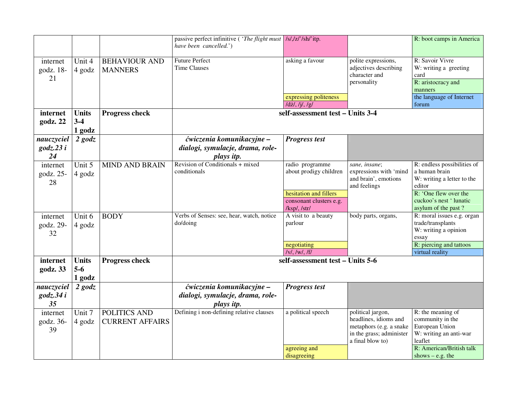|                                       |                                 |                                        | passive perfect infinitive ( <i>'The flight must</i>   /s/,/z/'/sh/'itp.<br>have been cancelled.') |                                                                                                                |                                                                                                                       | R: boot camps in America                                                                                                                                       |
|---------------------------------------|---------------------------------|----------------------------------------|----------------------------------------------------------------------------------------------------|----------------------------------------------------------------------------------------------------------------|-----------------------------------------------------------------------------------------------------------------------|----------------------------------------------------------------------------------------------------------------------------------------------------------------|
| internet<br>godz. 18-<br>21           | Unit 4<br>4 godz                | <b>BEHAVIOUR AND</b><br><b>MANNERS</b> | <b>Future Perfect</b><br><b>Time Clauses</b>                                                       | asking a favour<br>expressing politeness<br>$/dz/$ , $/j/$ , $/g/$                                             | polite expressions,<br>adjectives describing<br>character and<br>personality                                          | R: Savoir Vivre<br>W: writing a greeting<br>card<br>R: aristocracy and<br>manners<br>the language of Internet<br>forum                                         |
| internet<br>godz. 22                  | <b>Units</b><br>$3-4$<br>1 godz | <b>Progress check</b>                  |                                                                                                    | self-assessment test - Units 3-4                                                                               |                                                                                                                       |                                                                                                                                                                |
| nauczyciel<br>$\text{godz}.23i$<br>24 | $2$ godz                        |                                        | ćwiczenia komunikacyjne -<br>dialogi, symulacje, drama, role-<br>plays itp.                        | <b>Progress test</b>                                                                                           |                                                                                                                       |                                                                                                                                                                |
| internet<br>godz. 25-<br>28           | Unit 5<br>4 godz                | <b>MIND AND BRAIN</b>                  | Revision of Conditionals + mixed<br>conditionals                                                   | radio programme<br>about prodigy children<br>hesitation and fillers<br>consonant clusters e.g.<br>/ksp/, /str/ | sane, insane;<br>expressions with 'mind<br>and brain', emotions<br>and feelings                                       | R: endless possibilities of<br>a human brain<br>W: writing a letter to the<br>editor<br>R: 'One flew over the<br>cuckoo's nest 'lunatic<br>asylum of the past? |
| internet<br>godz. 29-<br>32           | Unit 6<br>4 godz                | <b>BODY</b>                            | Verbs of Senses: see, hear, watch, notice<br>do/doing                                              | A visit to a beauty<br>parlour<br>negotiating<br>$/v/$ , /w/, /f/                                              | body parts, organs,                                                                                                   | R: moral issues e.g. organ<br>trade/transplants<br>W: writing a opinion<br>essay<br>R: piercing and tattoos<br>virtual reality                                 |
| internet<br>godz. 33                  | <b>Units</b><br>$5-6$<br>1 godz | <b>Progress check</b>                  |                                                                                                    | self-assessment test - Units 5-6                                                                               |                                                                                                                       |                                                                                                                                                                |
| nauczyciel<br>godz.34 i<br>35         | $2$ godz                        |                                        | ćwiczenia komunikacyjne -<br>dialogi, symulacje, drama, role-<br>plays itp.                        | <b>Progress test</b>                                                                                           |                                                                                                                       |                                                                                                                                                                |
| internet<br>godz. 36-<br>39           | Unit 7<br>4 godz                | POLITICS AND<br><b>CURRENT AFFAIRS</b> | Defining i non-defining relative clauses                                                           | a political speech<br>agreeing and                                                                             | political jargon,<br>headlines, idioms and<br>metaphors (e.g. a snake<br>in the grass; administer<br>a final blow to) | R: the meaning of<br>community in the<br>European Union<br>W: writing an anti-war<br>leaflet<br>R: American/British talk                                       |
|                                       |                                 |                                        |                                                                                                    | disagreeing                                                                                                    |                                                                                                                       | shows $-$ e.g. the                                                                                                                                             |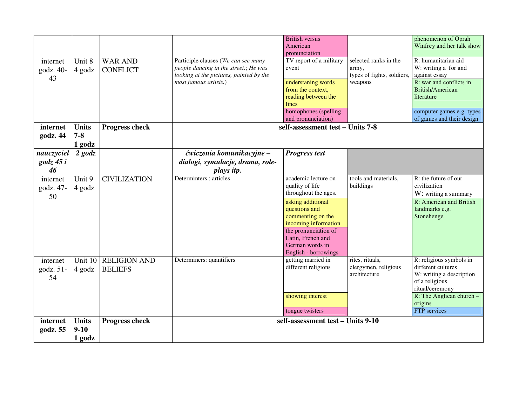|                    |              |                       |                                         | <b>British versus</b><br>American |                            | phenomenon of Oprah<br>Winfrey and her talk show |
|--------------------|--------------|-----------------------|-----------------------------------------|-----------------------------------|----------------------------|--------------------------------------------------|
|                    |              |                       |                                         | pronunciation                     |                            |                                                  |
| internet           | Unit 8       | <b>WAR AND</b>        | Participle clauses (We can see many     | TV report of a military           | selected ranks in the      | R: humanitarian aid                              |
| godz. 40-          | 4 godz       | <b>CONFLICT</b>       | people dancing in the street.; He was   | event                             | army,                      | W: writing a for and                             |
| 43                 |              |                       | looking at the pictures, painted by the |                                   | types of fights, soldiers, | against essay                                    |
|                    |              |                       | most famous artists.)                   | understaning words                | weapons                    | R: war and conflicts in                          |
|                    |              |                       |                                         | from the context,                 |                            | British/American                                 |
|                    |              |                       |                                         | reading between the               |                            | literature                                       |
|                    |              |                       |                                         | lines                             |                            |                                                  |
|                    |              |                       |                                         | homophones (spelling              |                            | computer games e.g. types                        |
|                    |              |                       |                                         | and pronunciation)                |                            | of games and their design                        |
| internet           | <b>Units</b> | <b>Progress check</b> |                                         | self-assessment test - Units 7-8  |                            |                                                  |
| godz. 44           | $7 - 8$      |                       |                                         |                                   |                            |                                                  |
|                    |              |                       |                                         |                                   |                            |                                                  |
|                    | 1 godz       |                       |                                         |                                   |                            |                                                  |
| nauczyciel         | $2$ godz     |                       | ćwiczenia komunikacyjne –               | <b>Progress test</b>              |                            |                                                  |
| $\text{godz } 45i$ |              |                       | dialogi, symulacje, drama, role-        |                                   |                            |                                                  |
| 46                 |              |                       | plays itp.                              |                                   |                            |                                                  |
| internet           | Unit 9       | <b>CIVILIZATION</b>   | Determinters : articles                 | academic lecture on               | tools and materials,       | R: the future of our                             |
|                    |              |                       |                                         | quality of life                   | buildings                  | civilization                                     |
| godz. 47-          | 4 godz       |                       |                                         | throughout the ages.              |                            | W: writing a summary                             |
| 50                 |              |                       |                                         | asking additional                 |                            | R: American and British                          |
|                    |              |                       |                                         | questions and                     |                            | landmarks e.g.                                   |
|                    |              |                       |                                         | commenting on the                 |                            | Stonehenge                                       |
|                    |              |                       |                                         | incoming information              |                            |                                                  |
|                    |              |                       |                                         | the pronunciation of              |                            |                                                  |
|                    |              |                       |                                         | Latin, French and                 |                            |                                                  |
|                    |              |                       |                                         | German words in                   |                            |                                                  |
|                    |              |                       |                                         |                                   |                            |                                                  |
|                    |              |                       |                                         | English - borrowings              |                            |                                                  |
| internet           |              | Unit 10 RELIGION AND  | Determiners: quantifiers                | getting married in                | rites, rituals,            | R: religious symbols in<br>different cultures    |
| godz. 51-          | 4 godz       | <b>BELIEFS</b>        |                                         | different religions               | clergymen, religious       |                                                  |
| 54                 |              |                       |                                         |                                   | architecture               | W: writing a description                         |
|                    |              |                       |                                         |                                   |                            | of a religious                                   |
|                    |              |                       |                                         |                                   |                            | ritual/ceremony                                  |
|                    |              |                       |                                         | showing interest                  |                            | R: The Anglican church $-$                       |
|                    |              |                       |                                         |                                   |                            | origins                                          |
|                    |              |                       |                                         | tongue twisters                   |                            | FTP services                                     |
| internet           | <b>Units</b> | <b>Progress check</b> |                                         | self-assessment test - Units 9-10 |                            |                                                  |
| godz. 55           | $9 - 10$     |                       |                                         |                                   |                            |                                                  |
|                    | 1 godz       |                       |                                         |                                   |                            |                                                  |
|                    |              |                       |                                         |                                   |                            |                                                  |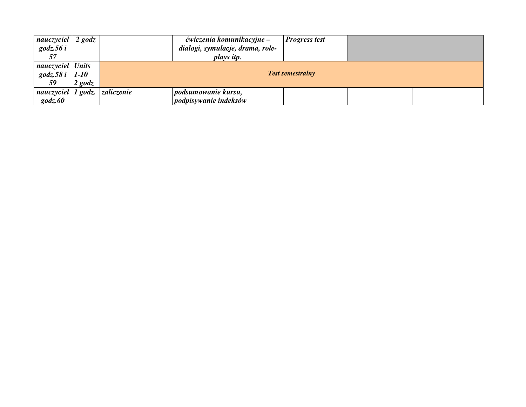| nauczyciel<br>$\mathit{godz}.56i$ | $2$ godz |                    | ćwiczenia komunikacyjne –<br>dialogi, symulacje, drama, role-<br>plays itp. | <b>Progress test</b> |  |  |  |
|-----------------------------------|----------|--------------------|-----------------------------------------------------------------------------|----------------------|--|--|--|
| nauczyciel Units                  |          |                    |                                                                             |                      |  |  |  |
| $\text{godz.58 } i$               | $1-10$   |                    | <b>Test semestralny</b>                                                     |                      |  |  |  |
| 59                                | $2$ godz |                    |                                                                             |                      |  |  |  |
| nauczyciel                        |          | 1 godz. zaliczenie | podsumowanie kursu,                                                         |                      |  |  |  |
| $\mathit{godz}.60$                |          |                    | podpisywanie indeksów                                                       |                      |  |  |  |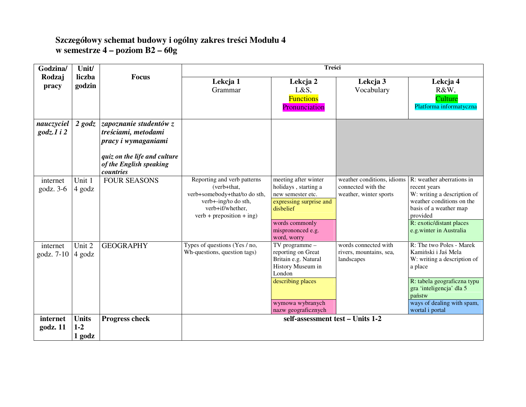# **Szczegółowy schemat budowy i ogólny zakres tre**ś**ci Modułu 4 w semestrze 4 – poziom B2 – 60g**

| Godzina/                          | Unit/                             |                                                                                                                                              | Treści                                                                                                                                                 |                                                                                                                                                                 |                                                                            |                                                                                                                                                                                                                 |  |
|-----------------------------------|-----------------------------------|----------------------------------------------------------------------------------------------------------------------------------------------|--------------------------------------------------------------------------------------------------------------------------------------------------------|-----------------------------------------------------------------------------------------------------------------------------------------------------------------|----------------------------------------------------------------------------|-----------------------------------------------------------------------------------------------------------------------------------------------------------------------------------------------------------------|--|
| Rodzaj<br>pracy                   | liczba<br>godzin                  | <b>Focus</b>                                                                                                                                 | Lekcja 1<br>Grammar                                                                                                                                    | Lekcja 2<br>L&S,<br><b>Functions</b><br>Pronunciation                                                                                                           | Lekcja 3<br>Vocabulary                                                     | Lekcja 4<br>R&W,<br>Culture<br>Platforma informatyczna                                                                                                                                                          |  |
| nauczyciel<br>$\text{godz.1}$ i 2 | $2$ godz                          | zapoznanie studentów z<br>treściami, metodami<br>pracy i wymaganiami<br>quiz on the life and culture<br>of the English speaking<br>countries |                                                                                                                                                        |                                                                                                                                                                 |                                                                            |                                                                                                                                                                                                                 |  |
| internet<br>$\text{godz. } 3-6$   | Unit 1<br>4 godz                  | <b>FOUR SEASONS</b>                                                                                                                          | Reporting and verb patterns<br>(verb+that,<br>verb+somebody+that/to do sth,<br>verb+-ing/to do sth,<br>verb+if/whether,<br>$verb + preposition + ing)$ | meeting after winter<br>holidays, starting a<br>new semester etc.<br>expressing surprise and<br>disbelief<br>words commonly<br>misprononced e.g.<br>word, worry | weather conditions, idioms<br>connected with the<br>weather, winter sports | R: weather aberrations in<br>recent years<br>W: writing a description of<br>weather conditions on the<br>basis of a weather map<br>provided<br>R: exotic/distant places<br>e.g.winter in Australia              |  |
| internet<br>godz. 7-10            | Unit 2<br>4 godz                  | <b>GEOGRAPHY</b>                                                                                                                             | Types of questions (Yes / no,<br>Wh-questions, question tags)                                                                                          | TV programme -<br>reporting on Great<br>Britain e.g. Natural<br>History Museum in<br>London<br>describing places<br>wymowa wybranych<br>nazw geograficznych     | words connected with<br>rivers, mountains, sea,<br>landscapes              | R: The two Poles - Marek<br>Kamiński i Jaś Mela<br>W: writing a description of<br>a place<br>R: tabela geograficzna typu<br>gra 'inteligencja' dla 5<br>państw<br>ways of dealing with spam,<br>wortal i portal |  |
| internet<br>godz. 11              | <b>Units</b><br>$1 - 2$<br>1 godz | <b>Progress check</b>                                                                                                                        |                                                                                                                                                        | self-assessment test - Units 1-2                                                                                                                                |                                                                            |                                                                                                                                                                                                                 |  |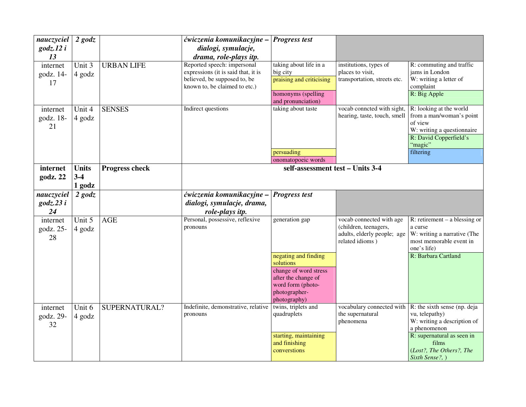| nauczyciel<br>$\text{godz}.12i$<br>13 | $2$ godz                        |                   | ćwiczenia komunikacyjne -<br>dialogi, symulacje,<br>drama, role-plays itp.                                                          | <b>Progress test</b>                                                                                                                      |                                                                                                     |                                                                                                                                                                                     |
|---------------------------------------|---------------------------------|-------------------|-------------------------------------------------------------------------------------------------------------------------------------|-------------------------------------------------------------------------------------------------------------------------------------------|-----------------------------------------------------------------------------------------------------|-------------------------------------------------------------------------------------------------------------------------------------------------------------------------------------|
| internet<br>godz. 14-<br>17           | Unit 3<br>4 godz                | <b>URBAN LIFE</b> | Reported speech: impersonal<br>expressions (it is said that, it is<br>believed, be supposed to, be<br>known to, be claimed to etc.) | taking about life in a<br>big city<br>praising and criticising<br>homonyms (spelling<br>and pronunciation)                                | institutions, types of<br>places to visit,<br>transportation, streets etc.                          | R: commuting and traffic<br>jams in London<br>W: writing a letter of<br>complaint<br>R: Big Apple                                                                                   |
| internet<br>godz. 18-<br>21           | Unit 4<br>4 godz                | <b>SENSES</b>     | Indirect questions                                                                                                                  | taking about taste<br>persuading<br>onomatopoeic words                                                                                    | vocab conncted with sight,<br>hearing, taste, touch, smell                                          | R: looking at the world<br>from a man/woman's point<br>of view<br>W: writing a questionnaire<br>R: David Copperfield's<br>"magic"<br>filtering                                      |
| internet<br>godz. 22                  | <b>Units</b><br>$3-4$<br>1 godz | Progress check    |                                                                                                                                     | self-assessment test - Units 3-4                                                                                                          |                                                                                                     |                                                                                                                                                                                     |
| nauczyciel<br>$\text{godz}.23i$<br>24 | $2$ godz                        |                   | ćwiczenia komunikacyjne -<br>dialogi, symulacje, drama,<br>role-plays itp.                                                          | <b>Progress test</b>                                                                                                                      |                                                                                                     |                                                                                                                                                                                     |
| internet<br>godz. 25-<br>28           | Unit 5<br>4 godz                | <b>AGE</b>        | Personal, possessive, reflexive<br>pronouns                                                                                         | generation gap<br>negating and finding<br>solutions<br>change of word stress<br>after the change of<br>word form (photo-<br>photographer- | vocab connected with age<br>(children, teenagers,<br>adults, elderly people; age<br>related idioms) | R: retirement $-$ a blessing or<br>a curse<br>W: writing a narrative (The<br>most memorable event in<br>one's life)<br>R: Barbara Cartland                                          |
| internet<br>godz. 29-<br>32           | Unit 6<br>4 godz                | SUPERNATURAL?     | Indefinite, demonstrative, relative<br>pronouns                                                                                     | photography)<br>twins, triplets and<br>quadruplets<br>starting, maintaining<br>and finishing<br>converstions                              | vocabulary connected with<br>the supernatural<br>phenomena                                          | R: the sixth sense (np. deja<br>vu, telepathy)<br>W: writing a description of<br>a phenomenon<br>R: supernatural as seen in<br>films<br>(Lost?, The Others?, The<br>Sixth Sense?, ) |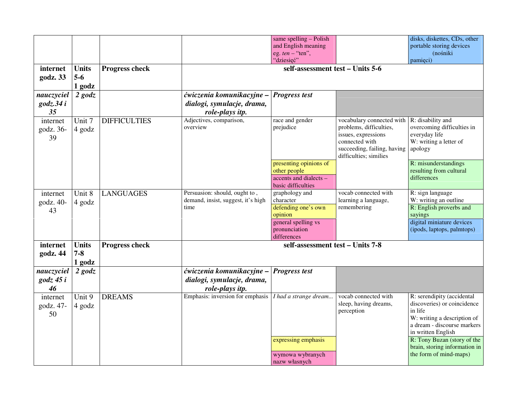| internet                               | <b>Units</b>                      | <b>Progress check</b> |                                                                             | same spelling - Polish<br>and English meaning<br>eg. $ten$ - "ten",<br>"dziesięć"<br>self-assessment test - Units 5-6 |                                                                                                                                                        | disks, diskettes, CDs, other<br>portable storing devices<br>(nośniki<br>pamięci)                                                                                                                                                                   |
|----------------------------------------|-----------------------------------|-----------------------|-----------------------------------------------------------------------------|-----------------------------------------------------------------------------------------------------------------------|--------------------------------------------------------------------------------------------------------------------------------------------------------|----------------------------------------------------------------------------------------------------------------------------------------------------------------------------------------------------------------------------------------------------|
| godz. 33                               | $5-6$<br>1 godz                   |                       |                                                                             |                                                                                                                       |                                                                                                                                                        |                                                                                                                                                                                                                                                    |
| nauczyciel<br>$\text{godz}.34i$<br>35  | $2$ godz                          |                       | ćwiczenia komunikacyjne -<br>dialogi, symulacje, drama,<br>role-plays itp.  | <b>Progress test</b>                                                                                                  |                                                                                                                                                        |                                                                                                                                                                                                                                                    |
| internet<br>godz. 36-<br>39            | Unit 7<br>4 godz                  | <b>DIFFICULTIES</b>   | Adjectives, comparison,<br>overview                                         | race and gender<br>prejudice                                                                                          | vocabulary connected with<br>problems, difficulties,<br>issues, expressions<br>connected with<br>succeeding, failing, having<br>difficulties; similies | R: disability and<br>overcoming difficulties in<br>everyday life<br>W: writing a letter of<br>apology                                                                                                                                              |
|                                        |                                   |                       |                                                                             | presenting opinions of<br>other people<br>accents and dialects -<br>basic difficulties                                |                                                                                                                                                        | R: misunderstandings<br>resulting from cultural<br>differences                                                                                                                                                                                     |
| internet<br>godz. 40-<br>43            | Unit 8<br>4 godz                  | <b>LANGUAGES</b>      | Persuasion: should, ought to,<br>demand, insist, suggest, it's high<br>time | graphology and<br>character<br>defending one's own<br>opinion<br>general spelling vs<br>pronunciation<br>differences  | vocab connected with<br>learning a language,<br>remembering                                                                                            | R: sign language<br>W: writing an outline<br>R: English proverbs and<br>sayings<br>digital miniature devices<br>(ipods, laptops, palmtops)                                                                                                         |
| internet<br>godz. 44                   | <b>Units</b><br>$7 - 8$<br>1 godz | <b>Progress check</b> | self-assessment test - Units 7-8                                            |                                                                                                                       |                                                                                                                                                        |                                                                                                                                                                                                                                                    |
| nauczyciel<br>$\text{godz } 45i$<br>46 | $2$ godz                          |                       | ćwiczenia komunikacyjne -<br>dialogi, symulacje, drama,<br>role-plays itp.  | <b>Progress test</b>                                                                                                  |                                                                                                                                                        |                                                                                                                                                                                                                                                    |
| internet<br>godz. 47-<br>50            | Unit 9<br>4 godz                  | <b>DREAMS</b>         | Emphasis: inversion for emphasis                                            | I had a strange dream<br>expressing emphasis<br>wymowa wybranych<br>nazw własnych                                     | vocab connected with<br>sleep, having dreams,<br>perception                                                                                            | R: serendipity (accidental<br>discoveries) or coincidence<br>in life<br>W: writing a description of<br>a dream - discourse markers<br>in written English<br>R: Tony Buzan (story of the<br>brain, storing information in<br>the form of mind-maps) |